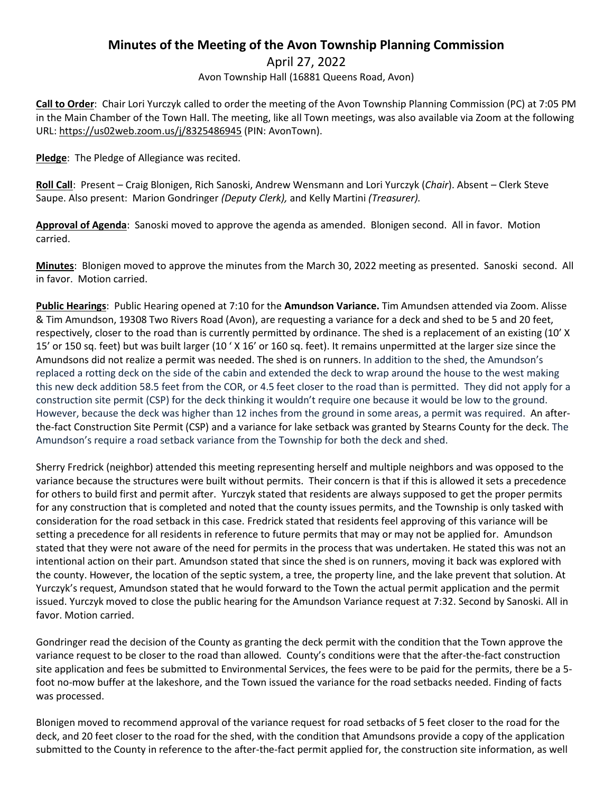## **Minutes of the Meeting of the Avon Township Planning Commission**

April 27, 2022

Avon Township Hall (16881 Queens Road, Avon)

**Call to Order**: Chair Lori Yurczyk called to order the meeting of the Avon Township Planning Commission (PC) at 7:05 PM in the Main Chamber of the Town Hall. The meeting, like all Town meetings, was also available via Zoom at the following URL: https://us02web.zoom.us/j/8325486945 (PIN: AvonTown).

**Pledge**: The Pledge of Allegiance was recited.

**Roll Call**: Present – Craig Blonigen, Rich Sanoski, Andrew Wensmann and Lori Yurczyk (*Chair*). Absent – Clerk Steve Saupe. Also present: Marion Gondringer *(Deputy Clerk),* and Kelly Martini *(Treasurer).*

**Approval of Agenda**: Sanoski moved to approve the agenda as amended. Blonigen second. All in favor. Motion carried.

**Minutes**: Blonigen moved to approve the minutes from the March 30, 2022 meeting as presented. Sanoski second. All in favor. Motion carried.

**Public Hearings**: Public Hearing opened at 7:10 for the **Amundson Variance.** Tim Amundsen attended via Zoom. Alisse & Tim Amundson, 19308 Two Rivers Road (Avon), are requesting a variance for a deck and shed to be 5 and 20 feet, respectively, closer to the road than is currently permitted by ordinance. The shed is a replacement of an existing (10' X 15' or 150 sq. feet) but was built larger (10 ' X 16' or 160 sq. feet). It remains unpermitted at the larger size since the Amundsons did not realize a permit was needed. The shed is on runners. In addition to the shed, the Amundson's replaced a rotting deck on the side of the cabin and extended the deck to wrap around the house to the west making this new deck addition 58.5 feet from the COR, or 4.5 feet closer to the road than is permitted. They did not apply for a construction site permit (CSP) for the deck thinking it wouldn't require one because it would be low to the ground. However, because the deck was higher than 12 inches from the ground in some areas, a permit was required. An afterthe-fact Construction Site Permit (CSP) and a variance for lake setback was granted by Stearns County for the deck. The Amundson's require a road setback variance from the Township for both the deck and shed.

Sherry Fredrick (neighbor) attended this meeting representing herself and multiple neighbors and was opposed to the variance because the structures were built without permits. Their concern is that if this is allowed it sets a precedence for others to build first and permit after. Yurczyk stated that residents are always supposed to get the proper permits for any construction that is completed and noted that the county issues permits, and the Township is only tasked with consideration for the road setback in this case. Fredrick stated that residents feel approving of this variance will be setting a precedence for all residents in reference to future permits that may or may not be applied for. Amundson stated that they were not aware of the need for permits in the process that was undertaken. He stated this was not an intentional action on their part. Amundson stated that since the shed is on runners, moving it back was explored with the county. However, the location of the septic system, a tree, the property line, and the lake prevent that solution. At Yurczyk's request, Amundson stated that he would forward to the Town the actual permit application and the permit issued. Yurczyk moved to close the public hearing for the Amundson Variance request at 7:32. Second by Sanoski. All in favor. Motion carried.

Gondringer read the decision of the County as granting the deck permit with the condition that the Town approve the variance request to be closer to the road than allowed. County's conditions were that the after-the-fact construction site application and fees be submitted to Environmental Services, the fees were to be paid for the permits, there be a 5 foot no-mow buffer at the lakeshore, and the Town issued the variance for the road setbacks needed. Finding of facts was processed.

Blonigen moved to recommend approval of the variance request for road setbacks of 5 feet closer to the road for the deck, and 20 feet closer to the road for the shed, with the condition that Amundsons provide a copy of the application submitted to the County in reference to the after-the-fact permit applied for, the construction site information, as well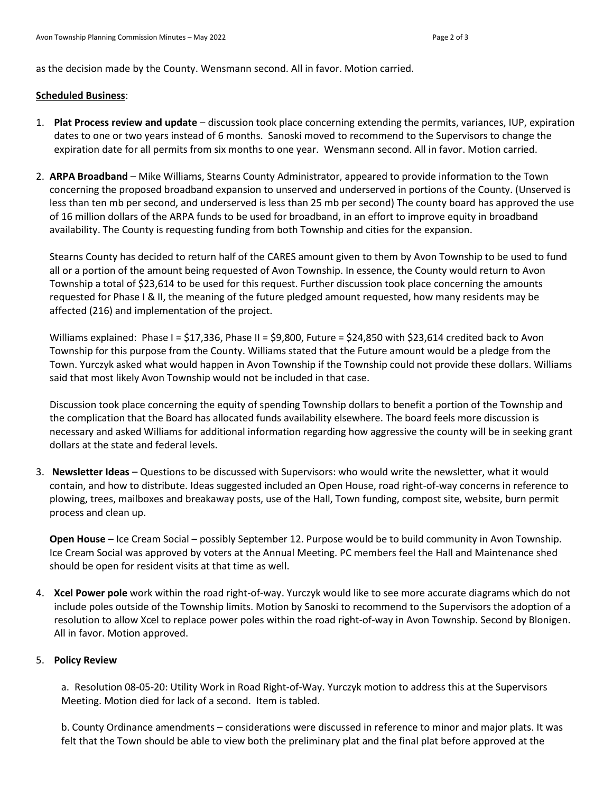as the decision made by the County. Wensmann second. All in favor. Motion carried.

## **Scheduled Business**:

- 1. **Plat Process review and update** discussion took place concerning extending the permits, variances, IUP, expiration dates to one or two years instead of 6 months. Sanoski moved to recommend to the Supervisors to change the expiration date for all permits from six months to one year. Wensmann second. All in favor. Motion carried.
- 2. **ARPA Broadband** Mike Williams, Stearns County Administrator, appeared to provide information to the Town concerning the proposed broadband expansion to unserved and underserved in portions of the County. (Unserved is less than ten mb per second, and underserved is less than 25 mb per second) The county board has approved the use of 16 million dollars of the ARPA funds to be used for broadband, in an effort to improve equity in broadband availability. The County is requesting funding from both Township and cities for the expansion.

Stearns County has decided to return half of the CARES amount given to them by Avon Township to be used to fund all or a portion of the amount being requested of Avon Township. In essence, the County would return to Avon Township a total of \$23,614 to be used for this request. Further discussion took place concerning the amounts requested for Phase I & II, the meaning of the future pledged amount requested, how many residents may be affected (216) and implementation of the project.

Williams explained: Phase I = \$17,336, Phase II = \$9,800, Future = \$24,850 with \$23,614 credited back to Avon Township for this purpose from the County. Williams stated that the Future amount would be a pledge from the Town. Yurczyk asked what would happen in Avon Township if the Township could not provide these dollars. Williams said that most likely Avon Township would not be included in that case.

Discussion took place concerning the equity of spending Township dollars to benefit a portion of the Township and the complication that the Board has allocated funds availability elsewhere. The board feels more discussion is necessary and asked Williams for additional information regarding how aggressive the county will be in seeking grant dollars at the state and federal levels.

3. **Newsletter Ideas** – Questions to be discussed with Supervisors: who would write the newsletter, what it would contain, and how to distribute. Ideas suggested included an Open House, road right-of-way concerns in reference to plowing, trees, mailboxes and breakaway posts, use of the Hall, Town funding, compost site, website, burn permit process and clean up.

**Open House** – Ice Cream Social – possibly September 12. Purpose would be to build community in Avon Township. Ice Cream Social was approved by voters at the Annual Meeting. PC members feel the Hall and Maintenance shed should be open for resident visits at that time as well.

4. **Xcel Power pole** work within the road right-of-way. Yurczyk would like to see more accurate diagrams which do not include poles outside of the Township limits. Motion by Sanoski to recommend to the Supervisors the adoption of a resolution to allow Xcel to replace power poles within the road right-of-way in Avon Township. Second by Blonigen. All in favor. Motion approved.

## 5. **Policy Review**

a. Resolution 08-05-20: Utility Work in Road Right-of-Way. Yurczyk motion to address this at the Supervisors Meeting. Motion died for lack of a second. Item is tabled.

b. County Ordinance amendments – considerations were discussed in reference to minor and major plats. It was felt that the Town should be able to view both the preliminary plat and the final plat before approved at the